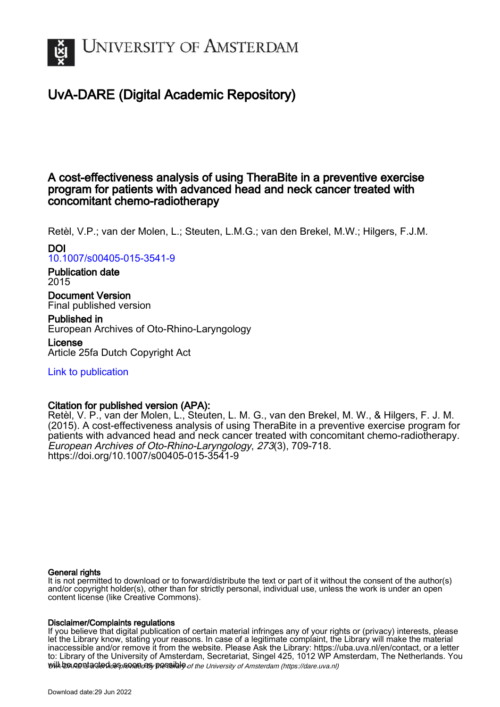

# UvA-DARE (Digital Academic Repository)

# A cost-effectiveness analysis of using TheraBite in a preventive exercise program for patients with advanced head and neck cancer treated with concomitant chemo-radiotherapy

Retèl, V.P.; van der Molen, L.; Steuten, L.M.G.; van den Brekel, M.W.; Hilgers, F.J.M.

# DOI [10.1007/s00405-015-3541-9](https://doi.org/10.1007/s00405-015-3541-9)

# Publication date 2015

Document Version Final published version

# Published in European Archives of Oto-Rhino-Laryngology

License Article 25fa Dutch Copyright Act

# [Link to publication](https://dare.uva.nl/personal/pure/en/publications/a-costeffectiveness-analysis-of-using-therabite-in-a-preventive-exercise-program-for-patients-with-advanced-head-and-neck-cancer-treated-with-concomitant-chemoradiotherapy(ebd9e6f0-aa49-41f3-8866-1bb3df4b844f).html)

# Citation for published version (APA):

Retèl, V. P., van der Molen, L., Steuten, L. M. G., van den Brekel, M. W., & Hilgers, F. J. M. (2015). A cost-effectiveness analysis of using TheraBite in a preventive exercise program for patients with advanced head and neck cancer treated with concomitant chemo-radiotherapy. European Archives of Oto-Rhino-Laryngology, 273(3), 709-718. <https://doi.org/10.1007/s00405-015-3541-9>

## General rights

It is not permitted to download or to forward/distribute the text or part of it without the consent of the author(s) and/or copyright holder(s), other than for strictly personal, individual use, unless the work is under an open content license (like Creative Commons).

## Disclaimer/Complaints regulations

will be contacted as sontacty pessible of the University of Amsterdam (https://dare.uva.nl) If you believe that digital publication of certain material infringes any of your rights or (privacy) interests, please let the Library know, stating your reasons. In case of a legitimate complaint, the Library will make the material inaccessible and/or remove it from the website. Please Ask the Library: https://uba.uva.nl/en/contact, or a letter to: Library of the University of Amsterdam, Secretariat, Singel 425, 1012 WP Amsterdam, The Netherlands. You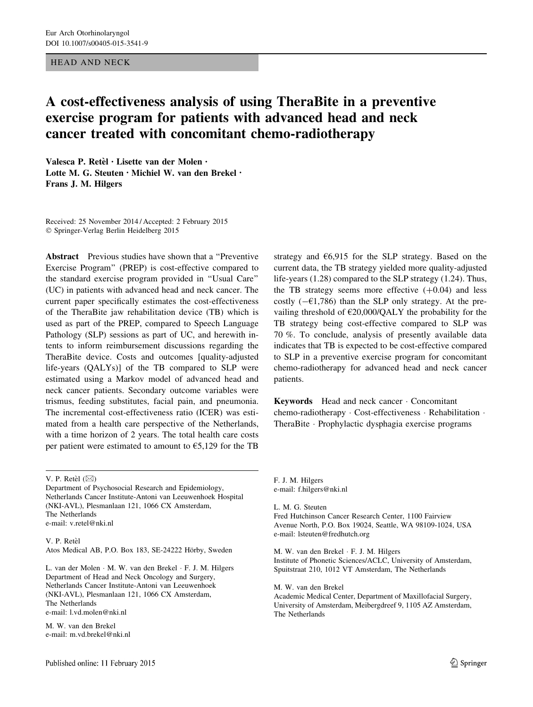### HEAD AND NECK

# A cost-effectiveness analysis of using TheraBite in a preventive exercise program for patients with advanced head and neck cancer treated with concomitant chemo-radiotherapy

Valesca P. Retèl · Lisette van der Molen · Lotte M. G. Steuten • Michiel W. van den Brekel • Frans J. M. Hilgers

Received: 25 November 2014 / Accepted: 2 February 2015 - Springer-Verlag Berlin Heidelberg 2015

Abstract Previous studies have shown that a ''Preventive Exercise Program'' (PREP) is cost-effective compared to the standard exercise program provided in ''Usual Care'' (UC) in patients with advanced head and neck cancer. The current paper specifically estimates the cost-effectiveness of the TheraBite jaw rehabilitation device (TB) which is used as part of the PREP, compared to Speech Language Pathology (SLP) sessions as part of UC, and herewith intents to inform reimbursement discussions regarding the TheraBite device. Costs and outcomes [quality-adjusted life-years (QALYs)] of the TB compared to SLP were estimated using a Markov model of advanced head and neck cancer patients. Secondary outcome variables were trismus, feeding substitutes, facial pain, and pneumonia. The incremental cost-effectiveness ratio (ICER) was estimated from a health care perspective of the Netherlands, with a time horizon of 2 years. The total health care costs per patient were estimated to amount to  $65,129$  for the TB

V. P. Retèl  $(\boxtimes)$ 

Department of Psychosocial Research and Epidemiology, Netherlands Cancer Institute-Antoni van Leeuwenhoek Hospital (NKI-AVL), Plesmanlaan 121, 1066 CX Amsterdam, The Netherlands e-mail: v.retel@nki.nl

V. P. Retèl Atos Medical AB, P.O. Box 183, SE-24222 Hörby, Sweden

L. van der Molen - M. W. van den Brekel - F. J. M. Hilgers Department of Head and Neck Oncology and Surgery, Netherlands Cancer Institute-Antoni van Leeuwenhoek (NKI-AVL), Plesmanlaan 121, 1066 CX Amsterdam, The Netherlands e-mail: l.vd.molen@nki.nl

M. W. van den Brekel e-mail: m.vd.brekel@nki.nl strategy and  $66,915$  for the SLP strategy. Based on the current data, the TB strategy yielded more quality-adjusted life-years (1.28) compared to the SLP strategy (1.24). Thus, the TB strategy seems more effective  $(+0.04)$  and less costly  $(-\epsilon 1,786)$  than the SLP only strategy. At the prevailing threshold of  $\epsilon$ 20,000/QALY the probability for the TB strategy being cost-effective compared to SLP was 70 %. To conclude, analysis of presently available data indicates that TB is expected to be cost-effective compared to SLP in a preventive exercise program for concomitant chemo-radiotherapy for advanced head and neck cancer patients.

Keywords Head and neck cancer - Concomitant chemo-radiotherapy - Cost-effectiveness - Rehabilitation - TheraBite - Prophylactic dysphagia exercise programs

F. J. M. Hilgers e-mail: f.hilgers@nki.nl

L. M. G. Steuten Fred Hutchinson Cancer Research Center, 1100 Fairview Avenue North, P.O. Box 19024, Seattle, WA 98109-1024, USA e-mail: lsteuten@fredhutch.org

M. W. van den Brekel - F. J. M. Hilgers Institute of Phonetic Sciences/ACLC, University of Amsterdam, Spuitstraat 210, 1012 VT Amsterdam, The Netherlands

M. W. van den Brekel Academic Medical Center, Department of Maxillofacial Surgery, University of Amsterdam, Meibergdreef 9, 1105 AZ Amsterdam, The Netherlands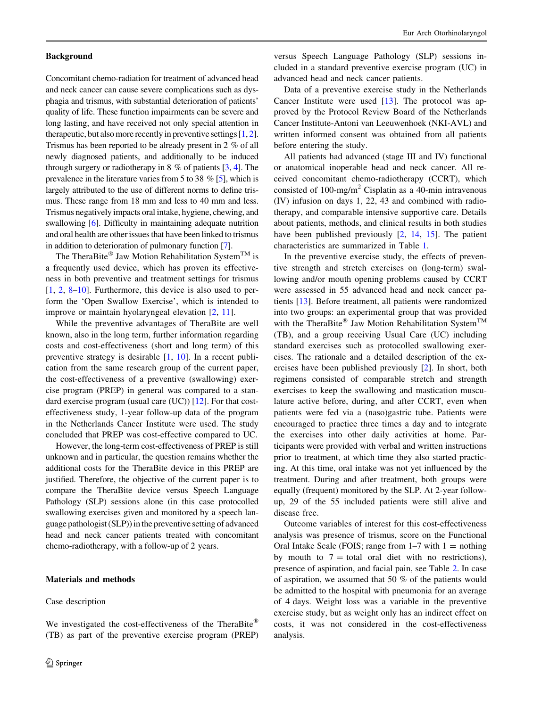#### Background

Concomitant chemo-radiation for treatment of advanced head and neck cancer can cause severe complications such as dysphagia and trismus, with substantial deterioration of patients' quality of life. These function impairments can be severe and long lasting, and have received not only special attention in therapeutic, but also more recently in preventive settings [[1,](#page-9-0) [2](#page-9-0)]. Trismus has been reported to be already present in 2 % of all newly diagnosed patients, and additionally to be induced through surgery or radiotherapy in 8  $\%$  of patients [\[3](#page-9-0), [4\]](#page-9-0). The prevalence in the literature varies from 5 to 38 % [\[5](#page-9-0)], which is largely attributed to the use of different norms to define trismus. These range from 18 mm and less to 40 mm and less. Trismus negatively impacts oral intake, hygiene, chewing, and swallowing [\[6](#page-9-0)]. Difficulty in maintaining adequate nutrition and oral health are other issues that have been linked to trismus in addition to deterioration of pulmonary function [\[7\]](#page-9-0).

The TheraBite® Jaw Motion Rehabilitation System<sup>TM</sup> is a frequently used device, which has proven its effectiveness in both preventive and treatment settings for trismus [\[1](#page-9-0), [2](#page-9-0), [8–10](#page-9-0)]. Furthermore, this device is also used to perform the 'Open Swallow Exercise', which is intended to improve or maintain hyolaryngeal elevation [[2,](#page-9-0) [11\]](#page-9-0).

While the preventive advantages of TheraBite are well known, also in the long term, further information regarding costs and cost-effectiveness (short and long term) of this preventive strategy is desirable [\[1](#page-9-0), [10](#page-9-0)]. In a recent publication from the same research group of the current paper, the cost-effectiveness of a preventive (swallowing) exercise program (PREP) in general was compared to a standard exercise program (usual care (UC)) [[12\]](#page-9-0). For that costeffectiveness study, 1-year follow-up data of the program in the Netherlands Cancer Institute were used. The study concluded that PREP was cost-effective compared to UC.

However, the long-term cost-effectiveness of PREP is still unknown and in particular, the question remains whether the additional costs for the TheraBite device in this PREP are justified. Therefore, the objective of the current paper is to compare the TheraBite device versus Speech Language Pathology (SLP) sessions alone (in this case protocolled swallowing exercises given and monitored by a speech language pathologist (SLP)) in the preventive setting of advanced head and neck cancer patients treated with concomitant chemo-radiotherapy, with a follow-up of 2 years.

### Materials and methods

Case description

We investigated the cost-effectiveness of the TheraBite<sup>®</sup> (TB) as part of the preventive exercise program (PREP)

versus Speech Language Pathology (SLP) sessions included in a standard preventive exercise program (UC) in advanced head and neck cancer patients.

Data of a preventive exercise study in the Netherlands Cancer Institute were used [[13\]](#page-9-0). The protocol was approved by the Protocol Review Board of the Netherlands Cancer Institute-Antoni van Leeuwenhoek (NKI-AVL) and written informed consent was obtained from all patients before entering the study.

All patients had advanced (stage III and IV) functional or anatomical inoperable head and neck cancer. All received concomitant chemo-radiotherapy (CCRT), which consisted of  $100$ -mg/m<sup>2</sup> Cisplatin as a 40-min intravenous (IV) infusion on days 1, 22, 43 and combined with radiotherapy, and comparable intensive supportive care. Details about patients, methods, and clinical results in both studies have been published previously  $[2, 14, 15]$  $[2, 14, 15]$  $[2, 14, 15]$  $[2, 14, 15]$  $[2, 14, 15]$  $[2, 14, 15]$  $[2, 14, 15]$ . The patient characteristics are summarized in Table [1](#page-3-0).

In the preventive exercise study, the effects of preventive strength and stretch exercises on (long-term) swallowing and/or mouth opening problems caused by CCRT were assessed in 55 advanced head and neck cancer patients [\[13](#page-9-0)]. Before treatment, all patients were randomized into two groups: an experimental group that was provided with the TheraBite<sup>®</sup> Jaw Motion Rehabilitation System<sup>TM</sup> (TB), and a group receiving Usual Care (UC) including standard exercises such as protocolled swallowing exercises. The rationale and a detailed description of the exercises have been published previously [[2\]](#page-9-0). In short, both regimens consisted of comparable stretch and strength exercises to keep the swallowing and mastication musculature active before, during, and after CCRT, even when patients were fed via a (naso)gastric tube. Patients were encouraged to practice three times a day and to integrate the exercises into other daily activities at home. Participants were provided with verbal and written instructions prior to treatment, at which time they also started practicing. At this time, oral intake was not yet influenced by the treatment. During and after treatment, both groups were equally (frequent) monitored by the SLP. At 2-year followup, 29 of the 55 included patients were still alive and disease free.

Outcome variables of interest for this cost-effectiveness analysis was presence of trismus, score on the Functional Oral Intake Scale (FOIS; range from  $1-7$  with  $1 = \text{nothing}$ by mouth to  $7 =$  total oral diet with no restrictions), presence of aspiration, and facial pain, see Table [2.](#page-4-0) In case of aspiration, we assumed that 50 % of the patients would be admitted to the hospital with pneumonia for an average of 4 days. Weight loss was a variable in the preventive exercise study, but as weight only has an indirect effect on costs, it was not considered in the cost-effectiveness analysis.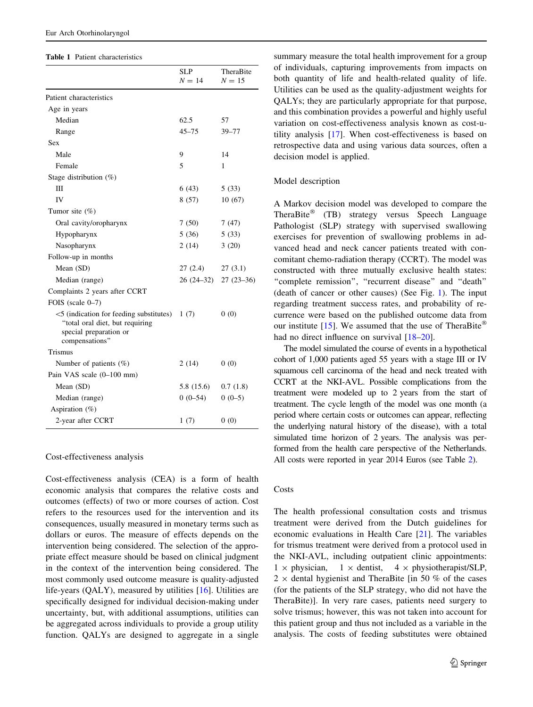#### <span id="page-3-0"></span>Table 1 Patient characteristics

|                                                                                                                            | SLP<br>$N = 14$       | TheraBite<br>$N=15$ |
|----------------------------------------------------------------------------------------------------------------------------|-----------------------|---------------------|
| Patient characteristics                                                                                                    |                       |                     |
| Age in years                                                                                                               |                       |                     |
| Median                                                                                                                     | 62.5                  | 57                  |
| Range                                                                                                                      | $45 - 75$             | $39 - 77$           |
| Sex                                                                                                                        |                       |                     |
| Male                                                                                                                       | 9                     | 14                  |
| Female                                                                                                                     | 5                     | 1                   |
| Stage distribution $(\%)$                                                                                                  |                       |                     |
| Ш                                                                                                                          | 6(43)                 | 5(33)               |
| IV                                                                                                                         | 8(57)                 | 10(67)              |
| Tumor site $(\%)$                                                                                                          |                       |                     |
| Oral cavity/oropharynx                                                                                                     | 7(50)                 | 7(47)               |
| Hypopharynx                                                                                                                | 5(36)                 | 5(33)               |
| Nasopharynx                                                                                                                | 2(14)                 | 3(20)               |
| Follow-up in months                                                                                                        |                       |                     |
| Mean (SD)                                                                                                                  | $27(2.4)$ $27(3.1)$   |                     |
| Median (range)                                                                                                             | 26 (24-32) 27 (23-36) |                     |
| Complaints 2 years after CCRT                                                                                              |                       |                     |
| FOIS (scale 0-7)                                                                                                           |                       |                     |
| $\leq$ (indication for feeding substitutes)<br>"total oral diet, but requiring<br>special preparation or<br>compensations" | 1(7)                  | 0(0)                |
| Trismus                                                                                                                    |                       |                     |
| Number of patients $(\%)$                                                                                                  | 2(14)                 | 0(0)                |
| Pain VAS scale (0-100 mm)                                                                                                  |                       |                     |
| Mean (SD)                                                                                                                  | 5.8(15.6)             | 0.7(1.8)            |
| Median (range)                                                                                                             | $0(0-54)$             | $0(0-5)$            |
| Aspiration $(\%)$                                                                                                          |                       |                     |
| 2-year after CCRT                                                                                                          | 1(7)                  | 0(0)                |

#### Cost-effectiveness analysis

Cost-effectiveness analysis (CEA) is a form of health economic analysis that compares the relative costs and outcomes (effects) of two or more courses of action. Cost refers to the resources used for the intervention and its consequences, usually measured in monetary terms such as dollars or euros. The measure of effects depends on the intervention being considered. The selection of the appropriate effect measure should be based on clinical judgment in the context of the intervention being considered. The most commonly used outcome measure is quality-adjusted life-years (QALY), measured by utilities [[16\]](#page-9-0). Utilities are specifically designed for individual decision-making under uncertainty, but, with additional assumptions, utilities can be aggregated across individuals to provide a group utility function. QALYs are designed to aggregate in a single summary measure the total health improvement for a group of individuals, capturing improvements from impacts on both quantity of life and health-related quality of life. Utilities can be used as the quality-adjustment weights for QALYs; they are particularly appropriate for that purpose, and this combination provides a powerful and highly useful variation on cost-effectiveness analysis known as cost-utility analysis [\[17](#page-9-0)]. When cost-effectiveness is based on retrospective data and using various data sources, often a decision model is applied.

#### Model description

A Markov decision model was developed to compare the TheraBite® (TB) strategy versus Speech Language Pathologist (SLP) strategy with supervised swallowing exercises for prevention of swallowing problems in advanced head and neck cancer patients treated with concomitant chemo-radiation therapy (CCRT). The model was constructed with three mutually exclusive health states: ''complete remission'', ''recurrent disease'' and ''death'' (death of cancer or other causes) (See Fig. [1](#page-6-0)). The input regarding treatment success rates, and probability of recurrence were based on the published outcome data from our institute [[15\]](#page-9-0). We assumed that the use of TheraBite® had no direct influence on survival [[18–20\]](#page-9-0).

The model simulated the course of events in a hypothetical cohort of 1,000 patients aged 55 years with a stage III or IV squamous cell carcinoma of the head and neck treated with CCRT at the NKI-AVL. Possible complications from the treatment were modeled up to 2 years from the start of treatment. The cycle length of the model was one month (a period where certain costs or outcomes can appear, reflecting the underlying natural history of the disease), with a total simulated time horizon of 2 years. The analysis was performed from the health care perspective of the Netherlands. All costs were reported in year 2014 Euros (see Table [2](#page-4-0)).

#### Costs

The health professional consultation costs and trismus treatment were derived from the Dutch guidelines for economic evaluations in Health Care [\[21](#page-9-0)]. The variables for trismus treatment were derived from a protocol used in the NKI-AVL, including outpatient clinic appointments:  $1 \times$  physician,  $1 \times$  dentist,  $4 \times$  physiotherapist/SLP, 2  $\times$  dental hygienist and TheraBite [in 50 % of the cases (for the patients of the SLP strategy, who did not have the TheraBite)]. In very rare cases, patients need surgery to solve trismus; however, this was not taken into account for this patient group and thus not included as a variable in the analysis. The costs of feeding substitutes were obtained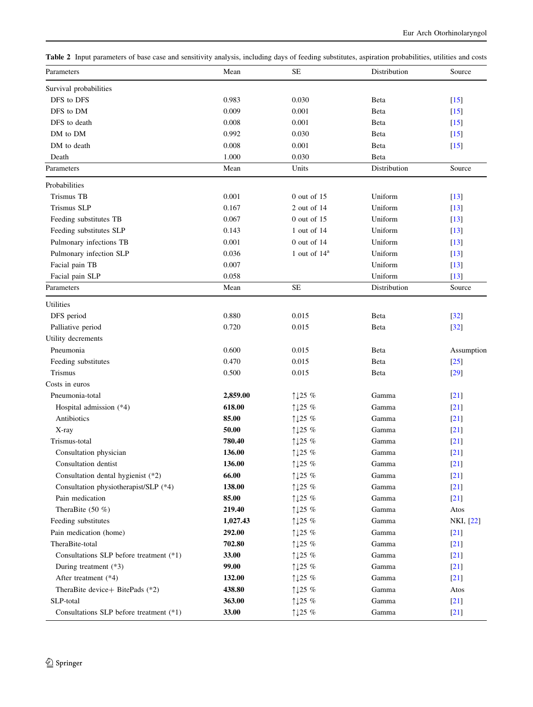<span id="page-4-0"></span>Table 2 Input parameters of base case and sensitivity analysis, including days of feeding substitutes, aspiration probabilities, utilities and costs

| 0.983<br>DFS to DFS<br>0.030<br>Beta<br>$[15]$<br>DFS to DM<br>0.009<br>0.001<br>Beta<br>$[15]$<br>DFS to death<br>0.008<br>0.001<br>Beta<br>$[15]$<br>0.992<br>DM to DM<br>0.030<br>Beta<br>$[15]$<br>0.008<br>DM to death<br>0.001<br>Beta<br>$[15]$<br>1.000<br>0.030<br>Death<br>Beta<br>Units<br>Distribution<br>Source<br>Mean<br><b>Trismus TB</b><br>0.001<br>$0$ out of 15<br>Uniform<br>$[13]$<br>Trismus SLP<br>0.167<br>2 out of 14<br>Uniform<br>$[13]$<br>0.067<br>$0$ out of 15<br>Uniform<br>Feeding substitutes TB<br>$[13]$<br>Uniform<br>Feeding substitutes SLP<br>0.143<br>1 out of 14<br>$[13]$<br>0.001<br>Uniform<br>Pulmonary infections TB<br>$0$ out of 14<br>$[13]$<br>0.036<br>1 out of $14^a$<br>Uniform<br>Pulmonary infection SLP<br>$[13]$<br>Uniform<br>0.007<br>Facial pain TB<br>$[13]$<br>Uniform<br>0.058<br>Facial pain SLP<br>$\lceil 13 \rceil$<br>$\rm SE$<br>Distribution<br>Source<br>Mean<br>0.880<br>DFS period<br>0.015<br>Beta<br>$[32]$<br>Palliative period<br>0.720<br>0.015<br>Beta<br>$[32]$<br>Utility decrements<br>Pneumonia<br>0.600<br>0.015<br>Beta<br>Assumption<br>0.470<br>0.015<br>Feeding substitutes<br>Beta<br>$[25]$<br>Trismus<br>0.500<br>0.015<br>Beta<br>$[29]$<br>Pneumonia-total<br>2,859.00<br>1125 %<br>Gamma<br>$[21]$<br>618.00<br>Hospital admission (*4)<br>↑↓25 %<br>Gamma<br>$[21]$<br>Antibiotics<br>85.00<br>↑↓25 %<br>Gamma<br>$[21]$<br>50.00<br>1125 %<br>Gamma<br>$[21]$<br>X-ray<br>Trismus-total<br>780.40<br>↑↓25 %<br>Gamma<br>$[21]$<br>136.00<br>Consultation physician<br>↑↓25 %<br>$[21]$<br>Gamma<br>136.00<br>$\uparrow\downarrow$ 25 $\%$<br>$[21]$<br>Consultation dentist<br>Gamma<br>Consultation dental hygienist (*2)<br>66.00<br>↑↓25 %<br>Gamma<br>[21]<br>Consultation physiotherapist/SLP (*4)<br>138.00<br>1125 %<br>Gamma<br>$[21]$<br>Pain medication<br>85.00<br>1125 %<br>Gamma<br>$[21]$<br>TheraBite $(50 \%)$<br>219.40<br>Gamma<br>↑↓25 %<br>Atos<br>Feeding substitutes<br>1,027.43<br>1125 %<br>Gamma<br>NKI, [22]<br>Pain medication (home)<br>292.00<br>1125 %<br>Gamma<br>$[21]$<br>TheraBite-total<br>702.80<br>Gamma<br>↑↓25 %<br>$[21]$<br>Consultations SLP before treatment (*1)<br>33.00<br>1125 %<br>Gamma<br>$[21]$<br>99.00<br>During treatment (*3)<br>Gamma<br>$[21]$<br>↑↓25 %<br>After treatment (*4)<br>132.00<br>1125 %<br>Gamma<br>$[21]$<br>438.80<br>TheraBite device+ BitePads (*2)<br>Gamma<br>↑↓25 %<br>Atos<br>SLP-total<br>363.00<br>1125 %<br>Gamma<br>$[21]$<br>Consultations SLP before treatment (*1)<br>33.00<br>1125 %<br>Gamma | Parameters             | Mean | <b>SE</b> | Distribution | Source |
|---------------------------------------------------------------------------------------------------------------------------------------------------------------------------------------------------------------------------------------------------------------------------------------------------------------------------------------------------------------------------------------------------------------------------------------------------------------------------------------------------------------------------------------------------------------------------------------------------------------------------------------------------------------------------------------------------------------------------------------------------------------------------------------------------------------------------------------------------------------------------------------------------------------------------------------------------------------------------------------------------------------------------------------------------------------------------------------------------------------------------------------------------------------------------------------------------------------------------------------------------------------------------------------------------------------------------------------------------------------------------------------------------------------------------------------------------------------------------------------------------------------------------------------------------------------------------------------------------------------------------------------------------------------------------------------------------------------------------------------------------------------------------------------------------------------------------------------------------------------------------------------------------------------------------------------------------------------------------------------------------------------------------------------------------------------------------------------------------------------------------------------------------------------------------------------------------------------------------------------------------------------------------------------------------------------------------------------------------------------------------------------------------------------------------------------------------------------------------------------------------------------------------------------------------------------------------------------|------------------------|------|-----------|--------------|--------|
|                                                                                                                                                                                                                                                                                                                                                                                                                                                                                                                                                                                                                                                                                                                                                                                                                                                                                                                                                                                                                                                                                                                                                                                                                                                                                                                                                                                                                                                                                                                                                                                                                                                                                                                                                                                                                                                                                                                                                                                                                                                                                                                                                                                                                                                                                                                                                                                                                                                                                                                                                                                       | Survival probabilities |      |           |              |        |
|                                                                                                                                                                                                                                                                                                                                                                                                                                                                                                                                                                                                                                                                                                                                                                                                                                                                                                                                                                                                                                                                                                                                                                                                                                                                                                                                                                                                                                                                                                                                                                                                                                                                                                                                                                                                                                                                                                                                                                                                                                                                                                                                                                                                                                                                                                                                                                                                                                                                                                                                                                                       |                        |      |           |              |        |
|                                                                                                                                                                                                                                                                                                                                                                                                                                                                                                                                                                                                                                                                                                                                                                                                                                                                                                                                                                                                                                                                                                                                                                                                                                                                                                                                                                                                                                                                                                                                                                                                                                                                                                                                                                                                                                                                                                                                                                                                                                                                                                                                                                                                                                                                                                                                                                                                                                                                                                                                                                                       |                        |      |           |              |        |
|                                                                                                                                                                                                                                                                                                                                                                                                                                                                                                                                                                                                                                                                                                                                                                                                                                                                                                                                                                                                                                                                                                                                                                                                                                                                                                                                                                                                                                                                                                                                                                                                                                                                                                                                                                                                                                                                                                                                                                                                                                                                                                                                                                                                                                                                                                                                                                                                                                                                                                                                                                                       |                        |      |           |              |        |
|                                                                                                                                                                                                                                                                                                                                                                                                                                                                                                                                                                                                                                                                                                                                                                                                                                                                                                                                                                                                                                                                                                                                                                                                                                                                                                                                                                                                                                                                                                                                                                                                                                                                                                                                                                                                                                                                                                                                                                                                                                                                                                                                                                                                                                                                                                                                                                                                                                                                                                                                                                                       |                        |      |           |              |        |
|                                                                                                                                                                                                                                                                                                                                                                                                                                                                                                                                                                                                                                                                                                                                                                                                                                                                                                                                                                                                                                                                                                                                                                                                                                                                                                                                                                                                                                                                                                                                                                                                                                                                                                                                                                                                                                                                                                                                                                                                                                                                                                                                                                                                                                                                                                                                                                                                                                                                                                                                                                                       |                        |      |           |              |        |
|                                                                                                                                                                                                                                                                                                                                                                                                                                                                                                                                                                                                                                                                                                                                                                                                                                                                                                                                                                                                                                                                                                                                                                                                                                                                                                                                                                                                                                                                                                                                                                                                                                                                                                                                                                                                                                                                                                                                                                                                                                                                                                                                                                                                                                                                                                                                                                                                                                                                                                                                                                                       |                        |      |           |              |        |
|                                                                                                                                                                                                                                                                                                                                                                                                                                                                                                                                                                                                                                                                                                                                                                                                                                                                                                                                                                                                                                                                                                                                                                                                                                                                                                                                                                                                                                                                                                                                                                                                                                                                                                                                                                                                                                                                                                                                                                                                                                                                                                                                                                                                                                                                                                                                                                                                                                                                                                                                                                                       | Parameters             |      |           |              |        |
|                                                                                                                                                                                                                                                                                                                                                                                                                                                                                                                                                                                                                                                                                                                                                                                                                                                                                                                                                                                                                                                                                                                                                                                                                                                                                                                                                                                                                                                                                                                                                                                                                                                                                                                                                                                                                                                                                                                                                                                                                                                                                                                                                                                                                                                                                                                                                                                                                                                                                                                                                                                       | Probabilities          |      |           |              |        |
|                                                                                                                                                                                                                                                                                                                                                                                                                                                                                                                                                                                                                                                                                                                                                                                                                                                                                                                                                                                                                                                                                                                                                                                                                                                                                                                                                                                                                                                                                                                                                                                                                                                                                                                                                                                                                                                                                                                                                                                                                                                                                                                                                                                                                                                                                                                                                                                                                                                                                                                                                                                       |                        |      |           |              |        |
|                                                                                                                                                                                                                                                                                                                                                                                                                                                                                                                                                                                                                                                                                                                                                                                                                                                                                                                                                                                                                                                                                                                                                                                                                                                                                                                                                                                                                                                                                                                                                                                                                                                                                                                                                                                                                                                                                                                                                                                                                                                                                                                                                                                                                                                                                                                                                                                                                                                                                                                                                                                       |                        |      |           |              |        |
|                                                                                                                                                                                                                                                                                                                                                                                                                                                                                                                                                                                                                                                                                                                                                                                                                                                                                                                                                                                                                                                                                                                                                                                                                                                                                                                                                                                                                                                                                                                                                                                                                                                                                                                                                                                                                                                                                                                                                                                                                                                                                                                                                                                                                                                                                                                                                                                                                                                                                                                                                                                       |                        |      |           |              |        |
|                                                                                                                                                                                                                                                                                                                                                                                                                                                                                                                                                                                                                                                                                                                                                                                                                                                                                                                                                                                                                                                                                                                                                                                                                                                                                                                                                                                                                                                                                                                                                                                                                                                                                                                                                                                                                                                                                                                                                                                                                                                                                                                                                                                                                                                                                                                                                                                                                                                                                                                                                                                       |                        |      |           |              |        |
|                                                                                                                                                                                                                                                                                                                                                                                                                                                                                                                                                                                                                                                                                                                                                                                                                                                                                                                                                                                                                                                                                                                                                                                                                                                                                                                                                                                                                                                                                                                                                                                                                                                                                                                                                                                                                                                                                                                                                                                                                                                                                                                                                                                                                                                                                                                                                                                                                                                                                                                                                                                       |                        |      |           |              |        |
|                                                                                                                                                                                                                                                                                                                                                                                                                                                                                                                                                                                                                                                                                                                                                                                                                                                                                                                                                                                                                                                                                                                                                                                                                                                                                                                                                                                                                                                                                                                                                                                                                                                                                                                                                                                                                                                                                                                                                                                                                                                                                                                                                                                                                                                                                                                                                                                                                                                                                                                                                                                       |                        |      |           |              |        |
|                                                                                                                                                                                                                                                                                                                                                                                                                                                                                                                                                                                                                                                                                                                                                                                                                                                                                                                                                                                                                                                                                                                                                                                                                                                                                                                                                                                                                                                                                                                                                                                                                                                                                                                                                                                                                                                                                                                                                                                                                                                                                                                                                                                                                                                                                                                                                                                                                                                                                                                                                                                       |                        |      |           |              |        |
|                                                                                                                                                                                                                                                                                                                                                                                                                                                                                                                                                                                                                                                                                                                                                                                                                                                                                                                                                                                                                                                                                                                                                                                                                                                                                                                                                                                                                                                                                                                                                                                                                                                                                                                                                                                                                                                                                                                                                                                                                                                                                                                                                                                                                                                                                                                                                                                                                                                                                                                                                                                       |                        |      |           |              |        |
|                                                                                                                                                                                                                                                                                                                                                                                                                                                                                                                                                                                                                                                                                                                                                                                                                                                                                                                                                                                                                                                                                                                                                                                                                                                                                                                                                                                                                                                                                                                                                                                                                                                                                                                                                                                                                                                                                                                                                                                                                                                                                                                                                                                                                                                                                                                                                                                                                                                                                                                                                                                       | Parameters             |      |           |              |        |
|                                                                                                                                                                                                                                                                                                                                                                                                                                                                                                                                                                                                                                                                                                                                                                                                                                                                                                                                                                                                                                                                                                                                                                                                                                                                                                                                                                                                                                                                                                                                                                                                                                                                                                                                                                                                                                                                                                                                                                                                                                                                                                                                                                                                                                                                                                                                                                                                                                                                                                                                                                                       | <b>Utilities</b>       |      |           |              |        |
|                                                                                                                                                                                                                                                                                                                                                                                                                                                                                                                                                                                                                                                                                                                                                                                                                                                                                                                                                                                                                                                                                                                                                                                                                                                                                                                                                                                                                                                                                                                                                                                                                                                                                                                                                                                                                                                                                                                                                                                                                                                                                                                                                                                                                                                                                                                                                                                                                                                                                                                                                                                       |                        |      |           |              |        |
|                                                                                                                                                                                                                                                                                                                                                                                                                                                                                                                                                                                                                                                                                                                                                                                                                                                                                                                                                                                                                                                                                                                                                                                                                                                                                                                                                                                                                                                                                                                                                                                                                                                                                                                                                                                                                                                                                                                                                                                                                                                                                                                                                                                                                                                                                                                                                                                                                                                                                                                                                                                       |                        |      |           |              |        |
|                                                                                                                                                                                                                                                                                                                                                                                                                                                                                                                                                                                                                                                                                                                                                                                                                                                                                                                                                                                                                                                                                                                                                                                                                                                                                                                                                                                                                                                                                                                                                                                                                                                                                                                                                                                                                                                                                                                                                                                                                                                                                                                                                                                                                                                                                                                                                                                                                                                                                                                                                                                       |                        |      |           |              |        |
|                                                                                                                                                                                                                                                                                                                                                                                                                                                                                                                                                                                                                                                                                                                                                                                                                                                                                                                                                                                                                                                                                                                                                                                                                                                                                                                                                                                                                                                                                                                                                                                                                                                                                                                                                                                                                                                                                                                                                                                                                                                                                                                                                                                                                                                                                                                                                                                                                                                                                                                                                                                       |                        |      |           |              |        |
|                                                                                                                                                                                                                                                                                                                                                                                                                                                                                                                                                                                                                                                                                                                                                                                                                                                                                                                                                                                                                                                                                                                                                                                                                                                                                                                                                                                                                                                                                                                                                                                                                                                                                                                                                                                                                                                                                                                                                                                                                                                                                                                                                                                                                                                                                                                                                                                                                                                                                                                                                                                       |                        |      |           |              |        |
|                                                                                                                                                                                                                                                                                                                                                                                                                                                                                                                                                                                                                                                                                                                                                                                                                                                                                                                                                                                                                                                                                                                                                                                                                                                                                                                                                                                                                                                                                                                                                                                                                                                                                                                                                                                                                                                                                                                                                                                                                                                                                                                                                                                                                                                                                                                                                                                                                                                                                                                                                                                       |                        |      |           |              |        |
|                                                                                                                                                                                                                                                                                                                                                                                                                                                                                                                                                                                                                                                                                                                                                                                                                                                                                                                                                                                                                                                                                                                                                                                                                                                                                                                                                                                                                                                                                                                                                                                                                                                                                                                                                                                                                                                                                                                                                                                                                                                                                                                                                                                                                                                                                                                                                                                                                                                                                                                                                                                       | Costs in euros         |      |           |              |        |
|                                                                                                                                                                                                                                                                                                                                                                                                                                                                                                                                                                                                                                                                                                                                                                                                                                                                                                                                                                                                                                                                                                                                                                                                                                                                                                                                                                                                                                                                                                                                                                                                                                                                                                                                                                                                                                                                                                                                                                                                                                                                                                                                                                                                                                                                                                                                                                                                                                                                                                                                                                                       |                        |      |           |              |        |
|                                                                                                                                                                                                                                                                                                                                                                                                                                                                                                                                                                                                                                                                                                                                                                                                                                                                                                                                                                                                                                                                                                                                                                                                                                                                                                                                                                                                                                                                                                                                                                                                                                                                                                                                                                                                                                                                                                                                                                                                                                                                                                                                                                                                                                                                                                                                                                                                                                                                                                                                                                                       |                        |      |           |              |        |
|                                                                                                                                                                                                                                                                                                                                                                                                                                                                                                                                                                                                                                                                                                                                                                                                                                                                                                                                                                                                                                                                                                                                                                                                                                                                                                                                                                                                                                                                                                                                                                                                                                                                                                                                                                                                                                                                                                                                                                                                                                                                                                                                                                                                                                                                                                                                                                                                                                                                                                                                                                                       |                        |      |           |              |        |
|                                                                                                                                                                                                                                                                                                                                                                                                                                                                                                                                                                                                                                                                                                                                                                                                                                                                                                                                                                                                                                                                                                                                                                                                                                                                                                                                                                                                                                                                                                                                                                                                                                                                                                                                                                                                                                                                                                                                                                                                                                                                                                                                                                                                                                                                                                                                                                                                                                                                                                                                                                                       |                        |      |           |              |        |
|                                                                                                                                                                                                                                                                                                                                                                                                                                                                                                                                                                                                                                                                                                                                                                                                                                                                                                                                                                                                                                                                                                                                                                                                                                                                                                                                                                                                                                                                                                                                                                                                                                                                                                                                                                                                                                                                                                                                                                                                                                                                                                                                                                                                                                                                                                                                                                                                                                                                                                                                                                                       |                        |      |           |              |        |
|                                                                                                                                                                                                                                                                                                                                                                                                                                                                                                                                                                                                                                                                                                                                                                                                                                                                                                                                                                                                                                                                                                                                                                                                                                                                                                                                                                                                                                                                                                                                                                                                                                                                                                                                                                                                                                                                                                                                                                                                                                                                                                                                                                                                                                                                                                                                                                                                                                                                                                                                                                                       |                        |      |           |              |        |
|                                                                                                                                                                                                                                                                                                                                                                                                                                                                                                                                                                                                                                                                                                                                                                                                                                                                                                                                                                                                                                                                                                                                                                                                                                                                                                                                                                                                                                                                                                                                                                                                                                                                                                                                                                                                                                                                                                                                                                                                                                                                                                                                                                                                                                                                                                                                                                                                                                                                                                                                                                                       |                        |      |           |              |        |
|                                                                                                                                                                                                                                                                                                                                                                                                                                                                                                                                                                                                                                                                                                                                                                                                                                                                                                                                                                                                                                                                                                                                                                                                                                                                                                                                                                                                                                                                                                                                                                                                                                                                                                                                                                                                                                                                                                                                                                                                                                                                                                                                                                                                                                                                                                                                                                                                                                                                                                                                                                                       |                        |      |           |              |        |
|                                                                                                                                                                                                                                                                                                                                                                                                                                                                                                                                                                                                                                                                                                                                                                                                                                                                                                                                                                                                                                                                                                                                                                                                                                                                                                                                                                                                                                                                                                                                                                                                                                                                                                                                                                                                                                                                                                                                                                                                                                                                                                                                                                                                                                                                                                                                                                                                                                                                                                                                                                                       |                        |      |           |              |        |
|                                                                                                                                                                                                                                                                                                                                                                                                                                                                                                                                                                                                                                                                                                                                                                                                                                                                                                                                                                                                                                                                                                                                                                                                                                                                                                                                                                                                                                                                                                                                                                                                                                                                                                                                                                                                                                                                                                                                                                                                                                                                                                                                                                                                                                                                                                                                                                                                                                                                                                                                                                                       |                        |      |           |              |        |
|                                                                                                                                                                                                                                                                                                                                                                                                                                                                                                                                                                                                                                                                                                                                                                                                                                                                                                                                                                                                                                                                                                                                                                                                                                                                                                                                                                                                                                                                                                                                                                                                                                                                                                                                                                                                                                                                                                                                                                                                                                                                                                                                                                                                                                                                                                                                                                                                                                                                                                                                                                                       |                        |      |           |              |        |
|                                                                                                                                                                                                                                                                                                                                                                                                                                                                                                                                                                                                                                                                                                                                                                                                                                                                                                                                                                                                                                                                                                                                                                                                                                                                                                                                                                                                                                                                                                                                                                                                                                                                                                                                                                                                                                                                                                                                                                                                                                                                                                                                                                                                                                                                                                                                                                                                                                                                                                                                                                                       |                        |      |           |              |        |
|                                                                                                                                                                                                                                                                                                                                                                                                                                                                                                                                                                                                                                                                                                                                                                                                                                                                                                                                                                                                                                                                                                                                                                                                                                                                                                                                                                                                                                                                                                                                                                                                                                                                                                                                                                                                                                                                                                                                                                                                                                                                                                                                                                                                                                                                                                                                                                                                                                                                                                                                                                                       |                        |      |           |              |        |
|                                                                                                                                                                                                                                                                                                                                                                                                                                                                                                                                                                                                                                                                                                                                                                                                                                                                                                                                                                                                                                                                                                                                                                                                                                                                                                                                                                                                                                                                                                                                                                                                                                                                                                                                                                                                                                                                                                                                                                                                                                                                                                                                                                                                                                                                                                                                                                                                                                                                                                                                                                                       |                        |      |           |              |        |
|                                                                                                                                                                                                                                                                                                                                                                                                                                                                                                                                                                                                                                                                                                                                                                                                                                                                                                                                                                                                                                                                                                                                                                                                                                                                                                                                                                                                                                                                                                                                                                                                                                                                                                                                                                                                                                                                                                                                                                                                                                                                                                                                                                                                                                                                                                                                                                                                                                                                                                                                                                                       |                        |      |           |              |        |
|                                                                                                                                                                                                                                                                                                                                                                                                                                                                                                                                                                                                                                                                                                                                                                                                                                                                                                                                                                                                                                                                                                                                                                                                                                                                                                                                                                                                                                                                                                                                                                                                                                                                                                                                                                                                                                                                                                                                                                                                                                                                                                                                                                                                                                                                                                                                                                                                                                                                                                                                                                                       |                        |      |           |              |        |
|                                                                                                                                                                                                                                                                                                                                                                                                                                                                                                                                                                                                                                                                                                                                                                                                                                                                                                                                                                                                                                                                                                                                                                                                                                                                                                                                                                                                                                                                                                                                                                                                                                                                                                                                                                                                                                                                                                                                                                                                                                                                                                                                                                                                                                                                                                                                                                                                                                                                                                                                                                                       |                        |      |           |              |        |
|                                                                                                                                                                                                                                                                                                                                                                                                                                                                                                                                                                                                                                                                                                                                                                                                                                                                                                                                                                                                                                                                                                                                                                                                                                                                                                                                                                                                                                                                                                                                                                                                                                                                                                                                                                                                                                                                                                                                                                                                                                                                                                                                                                                                                                                                                                                                                                                                                                                                                                                                                                                       |                        |      |           |              |        |
|                                                                                                                                                                                                                                                                                                                                                                                                                                                                                                                                                                                                                                                                                                                                                                                                                                                                                                                                                                                                                                                                                                                                                                                                                                                                                                                                                                                                                                                                                                                                                                                                                                                                                                                                                                                                                                                                                                                                                                                                                                                                                                                                                                                                                                                                                                                                                                                                                                                                                                                                                                                       |                        |      |           |              |        |
|                                                                                                                                                                                                                                                                                                                                                                                                                                                                                                                                                                                                                                                                                                                                                                                                                                                                                                                                                                                                                                                                                                                                                                                                                                                                                                                                                                                                                                                                                                                                                                                                                                                                                                                                                                                                                                                                                                                                                                                                                                                                                                                                                                                                                                                                                                                                                                                                                                                                                                                                                                                       |                        |      |           |              | $[21]$ |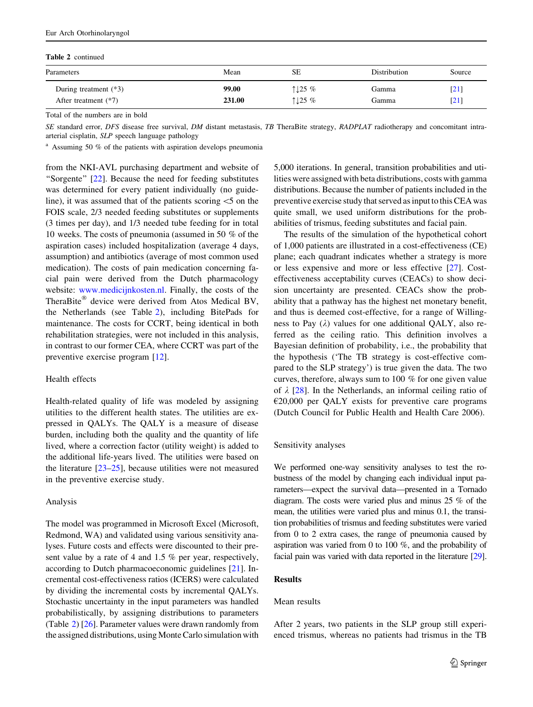#### Table 2 continued

| Parameters              | Mean   | <b>SE</b> | <b>Distribution</b> | Source                       |
|-------------------------|--------|-----------|---------------------|------------------------------|
| During treatment $(*3)$ | 99.00  | 1125%     | Gamma               | $\left[ 21\right]$           |
| After treatment $(*7)$  | 231.00 | 1125%     | Gamma               | $\left\lceil 21\right\rceil$ |

Total of the numbers are in bold

SE standard error, DFS disease free survival, DM distant metastasis, TB TheraBite strategy, RADPLAT radiotherapy and concomitant intraarterial cisplatin, SLP speech language pathology

<sup>a</sup> Assuming 50 % of the patients with aspiration develops pneumonia

from the NKI-AVL purchasing department and website of ''Sorgente'' [\[22](#page-9-0)]. Because the need for feeding substitutes was determined for every patient individually (no guideline), it was assumed that of the patients scoring  $\leq$  5 on the FOIS scale, 2/3 needed feeding substitutes or supplements (3 times per day), and 1/3 needed tube feeding for in total 10 weeks. The costs of pneumonia (assumed in 50 % of the aspiration cases) included hospitalization (average 4 days, assumption) and antibiotics (average of most common used medication). The costs of pain medication concerning facial pain were derived from the Dutch pharmacology website: [www.medicijnkosten.nl.](http://www.medicijnkosten.nl) Finally, the costs of the TheraBite<sup>®</sup> device were derived from Atos Medical BV, the Netherlands (see Table [2\)](#page-4-0), including BitePads for maintenance. The costs for CCRT, being identical in both rehabilitation strategies, were not included in this analysis, in contrast to our former CEA, where CCRT was part of the preventive exercise program [\[12](#page-9-0)].

#### Health effects

Health-related quality of life was modeled by assigning utilities to the different health states. The utilities are expressed in QALYs. The QALY is a measure of disease burden, including both the quality and the quantity of life lived, where a correction factor (utility weight) is added to the additional life-years lived. The utilities were based on the literature [\[23–25](#page-9-0)], because utilities were not measured in the preventive exercise study.

#### Analysis

The model was programmed in Microsoft Excel (Microsoft, Redmond, WA) and validated using various sensitivity analyses. Future costs and effects were discounted to their present value by a rate of 4 and 1.5 % per year, respectively, according to Dutch pharmacoeconomic guidelines [[21\]](#page-9-0). Incremental cost-effectiveness ratios (ICERS) were calculated by dividing the incremental costs by incremental QALYs. Stochastic uncertainty in the input parameters was handled probabilistically, by assigning distributions to parameters (Table [2](#page-4-0)) [[26\]](#page-9-0). Parameter values were drawn randomly from the assigned distributions, using Monte Carlo simulation with 5,000 iterations. In general, transition probabilities and utilities were assigned with beta distributions, costs with gamma distributions. Because the number of patients included in the preventive exercise study that served as input to this CEA was quite small, we used uniform distributions for the probabilities of trismus, feeding substitutes and facial pain.

The results of the simulation of the hypothetical cohort of 1,000 patients are illustrated in a cost-effectiveness (CE) plane; each quadrant indicates whether a strategy is more or less expensive and more or less effective [\[27](#page-10-0)]. Costeffectiveness acceptability curves (CEACs) to show decision uncertainty are presented. CEACs show the probability that a pathway has the highest net monetary benefit, and thus is deemed cost-effective, for a range of Willingness to Pay  $(\lambda)$  values for one additional QALY, also referred as the ceiling ratio. This definition involves a Bayesian definition of probability, i.e., the probability that the hypothesis ('The TB strategy is cost-effective compared to the SLP strategy') is true given the data. The two curves, therefore, always sum to 100 % for one given value of  $\lambda$  [[28\]](#page-10-0). In the Netherlands, an informal ceiling ratio of  $E20,000$  per QALY exists for preventive care programs (Dutch Council for Public Health and Health Care 2006).

#### Sensitivity analyses

We performed one-way sensitivity analyses to test the robustness of the model by changing each individual input parameters—expect the survival data—presented in a Tornado diagram. The costs were varied plus and minus 25 % of the mean, the utilities were varied plus and minus 0.1, the transition probabilities of trismus and feeding substitutes were varied from 0 to 2 extra cases, the range of pneumonia caused by aspiration was varied from 0 to 100 %, and the probability of facial pain was varied with data reported in the literature [\[29\]](#page-10-0).

### Results

#### Mean results

After 2 years, two patients in the SLP group still experienced trismus, whereas no patients had trismus in the TB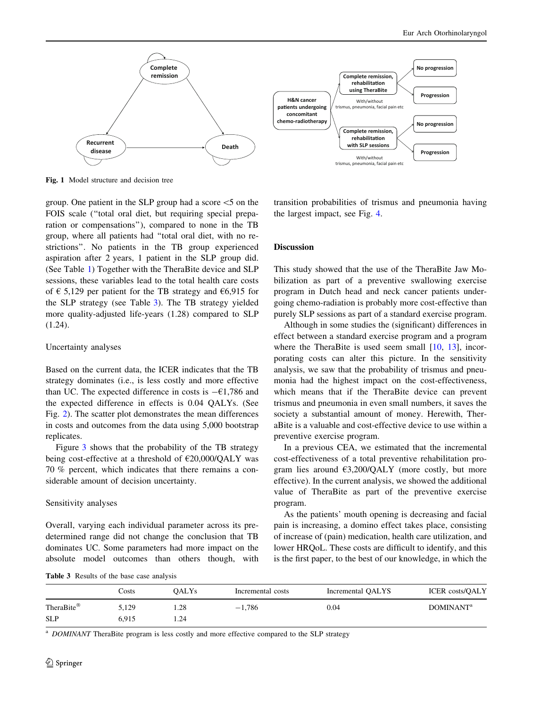<span id="page-6-0"></span>

Fig. 1 Model structure and decision tree

group. One patient in the SLP group had a score  $\le$ 5 on the FOIS scale (''total oral diet, but requiring special preparation or compensations''), compared to none in the TB group, where all patients had ''total oral diet, with no restrictions''. No patients in the TB group experienced aspiration after 2 years, 1 patient in the SLP group did. (See Table [1\)](#page-3-0) Together with the TheraBite device and SLP sessions, these variables lead to the total health care costs of  $\epsilon$  5,129 per patient for the TB strategy and  $\epsilon$ 6,915 for the SLP strategy (see Table 3). The TB strategy yielded more quality-adjusted life-years (1.28) compared to SLP (1.24).

### Uncertainty analyses

Based on the current data, the ICER indicates that the TB strategy dominates (i.e., is less costly and more effective than UC. The expected difference in costs is  $-61,786$  and the expected difference in effects is 0.04 QALYs. (See Fig. [2](#page-7-0)). The scatter plot demonstrates the mean differences in costs and outcomes from the data using 5,000 bootstrap replicates.

Figure [3](#page-7-0) shows that the probability of the TB strategy being cost-effective at a threshold of  $E20,000/QALY$  was 70 % percent, which indicates that there remains a considerable amount of decision uncertainty.

### Sensitivity analyses

Overall, varying each individual parameter across its predetermined range did not change the conclusion that TB dominates UC. Some parameters had more impact on the absolute model outcomes than others though, with transition probabilities of trismus and pneumonia having the largest impact, see Fig. [4](#page-8-0).

### Discussion

This study showed that the use of the TheraBite Jaw Mobilization as part of a preventive swallowing exercise program in Dutch head and neck cancer patients undergoing chemo-radiation is probably more cost-effective than purely SLP sessions as part of a standard exercise program.

Although in some studies the (significant) differences in effect between a standard exercise program and a program where the TheraBite is used seem small  $[10, 13]$  $[10, 13]$  $[10, 13]$  $[10, 13]$ , incorporating costs can alter this picture. In the sensitivity analysis, we saw that the probability of trismus and pneumonia had the highest impact on the cost-effectiveness, which means that if the TheraBite device can prevent trismus and pneumonia in even small numbers, it saves the society a substantial amount of money. Herewith, TheraBite is a valuable and cost-effective device to use within a preventive exercise program.

In a previous CEA, we estimated that the incremental cost-effectiveness of a total preventive rehabilitation program lies around  $\epsilon$ 3,200/QALY (more costly, but more effective). In the current analysis, we showed the additional value of TheraBite as part of the preventive exercise program.

As the patients' mouth opening is decreasing and facial pain is increasing, a domino effect takes place, consisting of increase of (pain) medication, health care utilization, and lower HRQoL. These costs are difficult to identify, and this is the first paper, to the best of our knowledge, in which the

Table 3 Results of the base case analysis

|            | Costs | OALYs | Incremental costs | Incremental QALYS | <b>ICER</b> costs/QALY |
|------------|-------|-------|-------------------|-------------------|------------------------|
| TheraBite® | 5,129 | .28   | $-1.786$          | 0.04              | DOMINANT <sup>a</sup>  |
| <b>SLP</b> | 6.915 | . 24  |                   |                   |                        |

<sup>a</sup> DOMINANT TheraBite program is less costly and more effective compared to the SLP strategy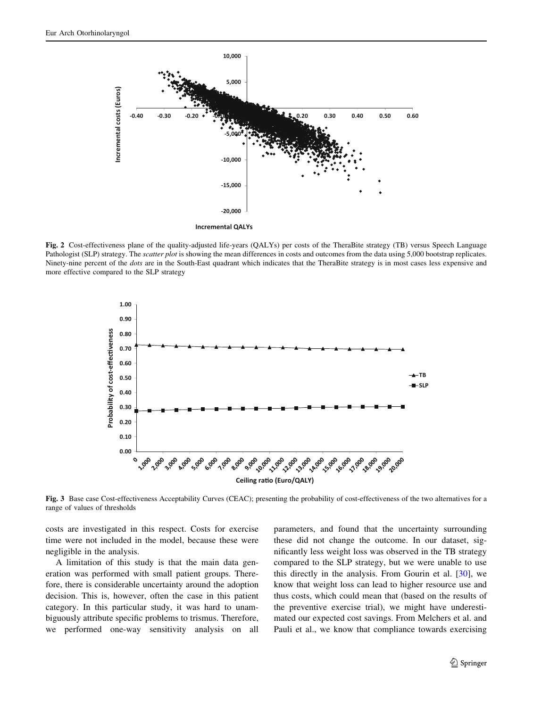<span id="page-7-0"></span>

Fig. 2 Cost-effectiveness plane of the quality-adjusted life-years (QALYs) per costs of the TheraBite strategy (TB) versus Speech Language Pathologist (SLP) strategy. The *scatter plot* is showing the mean differences in costs and outcomes from the data using 5,000 bootstrap replicates. Ninety-nine percent of the *dots* are in the South-East quadrant which indicates that the TheraBite strategy is in most cases less expensive and more effective compared to the SLP strategy



Fig. 3 Base case Cost-effectiveness Acceptability Curves (CEAC); presenting the probability of cost-effectiveness of the two alternatives for a range of values of thresholds

costs are investigated in this respect. Costs for exercise time were not included in the model, because these were negligible in the analysis.

A limitation of this study is that the main data generation was performed with small patient groups. Therefore, there is considerable uncertainty around the adoption decision. This is, however, often the case in this patient category. In this particular study, it was hard to unambiguously attribute specific problems to trismus. Therefore, we performed one-way sensitivity analysis on all parameters, and found that the uncertainty surrounding these did not change the outcome. In our dataset, significantly less weight loss was observed in the TB strategy compared to the SLP strategy, but we were unable to use this directly in the analysis. From Gourin et al. [[30\]](#page-10-0), we know that weight loss can lead to higher resource use and thus costs, which could mean that (based on the results of the preventive exercise trial), we might have underestimated our expected cost savings. From Melchers et al. and Pauli et al., we know that compliance towards exercising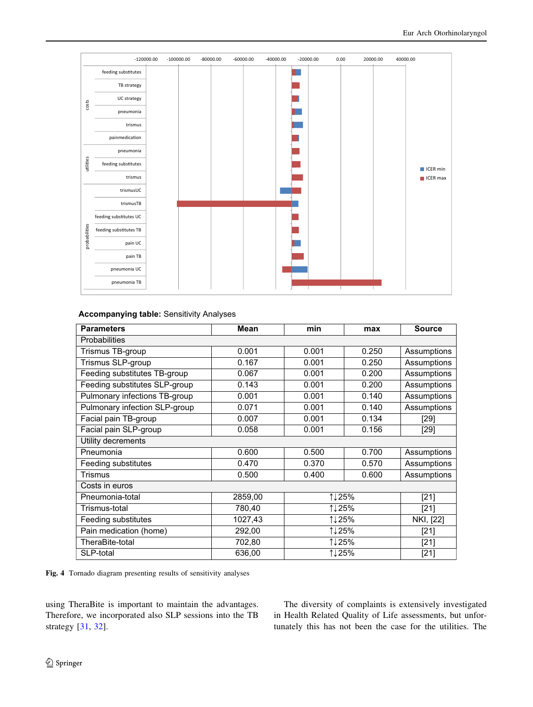<span id="page-8-0"></span>

|               |                        | $-120000.00$ | $-100000.00$ | $-80000.00$ | $-60000.00$ | $-40000.00$ | $-20000.00$ | 0.00 | 20000.00 | 40000.00 |  |
|---------------|------------------------|--------------|--------------|-------------|-------------|-------------|-------------|------|----------|----------|--|
|               | feeding substitutes    |              |              |             |             |             |             |      |          |          |  |
|               | TB strategy            |              |              |             |             |             |             |      |          |          |  |
|               | UC strategy            |              |              |             |             |             |             |      |          |          |  |
| ${\rm cost}$  | pneumonia              |              |              |             |             |             |             |      |          |          |  |
|               | trismus                |              |              |             |             |             |             |      |          |          |  |
|               | painmedication         |              |              |             |             |             |             |      |          |          |  |
|               | pneumonia              |              |              |             |             |             |             |      |          |          |  |
| utilities     | feeding substitutes    |              |              |             |             |             |             |      |          | ICER min |  |
|               | trismus                |              |              |             |             |             |             |      |          | ICER max |  |
|               | trismusUC              |              |              |             |             |             |             |      |          |          |  |
|               | trismusTB              |              |              |             |             |             |             |      |          |          |  |
|               | feeding substitutes UC |              |              |             |             |             |             |      |          |          |  |
| probabilities | feeding substitutes TB |              |              |             |             |             |             |      |          |          |  |
|               | pain UC                |              |              |             |             |             |             |      |          |          |  |
|               | pain TB                |              |              |             |             |             |             |      |          |          |  |
|               | pneumonia UC           |              |              |             |             |             |             |      |          |          |  |
|               | pneumonia TB           |              |              |             |             |             |             |      |          |          |  |

### **Accompanying table:** Sensitivity Analyses

| <b>Parameters</b>             | <b>Mean</b> | min            | max    | <b>Source</b> |  |  |  |  |
|-------------------------------|-------------|----------------|--------|---------------|--|--|--|--|
| <b>Probabilities</b>          |             |                |        |               |  |  |  |  |
| Trismus TB-group              | 0.001       | 0.001          | 0.250  | Assumptions   |  |  |  |  |
| Trismus SLP-group             | 0.167       | 0.001          | 0.250  | Assumptions   |  |  |  |  |
| Feeding substitutes TB-group  | 0.067       | 0.001          | 0.200  | Assumptions   |  |  |  |  |
| Feeding substitutes SLP-group | 0.143       | 0.001          | 0.200  | Assumptions   |  |  |  |  |
| Pulmonary infections TB-group | 0.001       | 0.001          | 0.140  | Assumptions   |  |  |  |  |
| Pulmonary infection SLP-group | 0.071       | 0.001          | 0.140  | Assumptions   |  |  |  |  |
| Facial pain TB-group          | 0.007       | 0.001          | 0.134  | [29]          |  |  |  |  |
| Facial pain SLP-group         | 0.058       | 0.001          | 0.156  | $[29]$        |  |  |  |  |
| Utility decrements            |             |                |        |               |  |  |  |  |
| Pneumonia                     | 0.600       | 0.500          | 0.700  | Assumptions   |  |  |  |  |
| Feeding substitutes           | 0.470       | 0.370<br>0.570 |        | Assumptions   |  |  |  |  |
| Trismus                       | 0.500       | 0.400<br>0.600 |        | Assumptions   |  |  |  |  |
| Costs in euros                |             |                |        |               |  |  |  |  |
| Pneumonia-total               | 2859,00     |                | 1↓25%  |               |  |  |  |  |
| Trismus-total                 | 780,40      | 1↓25%          |        | $[21]$        |  |  |  |  |
| Feeding substitutes           | 1027,43     | 1↓25%          |        | NKI, [22]     |  |  |  |  |
| Pain medication (home)        | 292,00      | 1↓25%          |        | $[21]$        |  |  |  |  |
| TheraBite-total               | 702,80      | 1↓25%          | $[21]$ |               |  |  |  |  |
| SLP-total                     | 636,00      | 1↓25%          | $[21]$ |               |  |  |  |  |

Fig. 4 Tornado diagram presenting results of sensitivity analyses

using TheraBite is important to maintain the advantages. Therefore, we incorporated also SLP sessions into the TB strategy [\[31](#page-10-0), [32](#page-10-0)].

The diversity of complaints is extensively investigated in Health Related Quality of Life assessments, but unfortunately this has not been the case for the utilities. The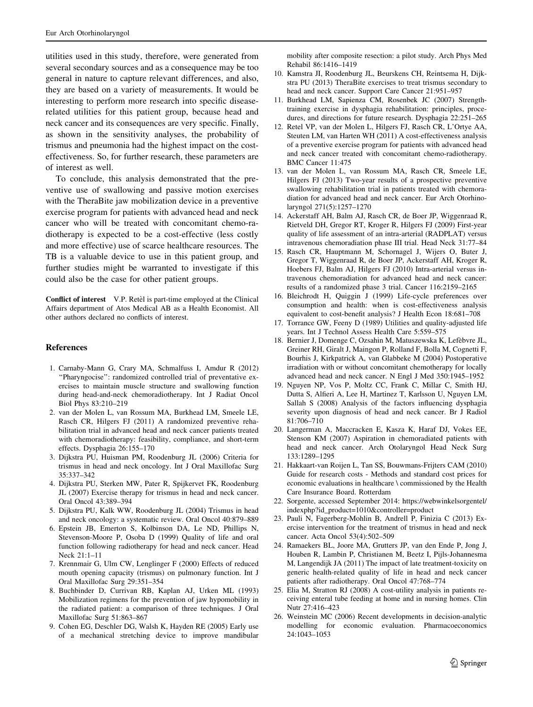<span id="page-9-0"></span>utilities used in this study, therefore, were generated from several secondary sources and as a consequence may be too general in nature to capture relevant differences, and also, they are based on a variety of measurements. It would be interesting to perform more research into specific diseaserelated utilities for this patient group, because head and neck cancer and its consequences are very specific. Finally, as shown in the sensitivity analyses, the probability of trismus and pneumonia had the highest impact on the costeffectiveness. So, for further research, these parameters are of interest as well.

To conclude, this analysis demonstrated that the preventive use of swallowing and passive motion exercises with the TheraBite jaw mobilization device in a preventive exercise program for patients with advanced head and neck cancer who will be treated with concomitant chemo-radiotherapy is expected to be a cost-effective (less costly and more effective) use of scarce healthcare resources. The TB is a valuable device to use in this patient group, and further studies might be warranted to investigate if this could also be the case for other patient groups.

Conflict of interest V.P. Retèl is part-time employed at the Clinical Affairs department of Atos Medical AB as a Health Economist. All other authors declared no conflicts of interest.

#### References

- 1. Carnaby-Mann G, Crary MA, Schmalfuss I, Amdur R (2012) ''Pharyngocise'': randomized controlled trial of preventative exercises to maintain muscle structure and swallowing function during head-and-neck chemoradiotherapy. Int J Radiat Oncol Biol Phys 83:210–219
- 2. van der Molen L, van Rossum MA, Burkhead LM, Smeele LE, Rasch CR, Hilgers FJ (2011) A randomized preventive rehabilitation trial in advanced head and neck cancer patients treated with chemoradiotherapy: feasibility, compliance, and short-term effects. Dysphagia 26:155–170
- 3. Dijkstra PU, Huisman PM, Roodenburg JL (2006) Criteria for trismus in head and neck oncology. Int J Oral Maxillofac Surg 35:337–342
- 4. Dijkstra PU, Sterken MW, Pater R, Spijkervet FK, Roodenburg JL (2007) Exercise therapy for trismus in head and neck cancer. Oral Oncol 43:389–394
- 5. Dijkstra PU, Kalk WW, Roodenburg JL (2004) Trismus in head and neck oncology: a systematic review. Oral Oncol 40:879–889
- 6. Epstein JB, Emerton S, Kolbinson DA, Le ND, Phillips N, Stevenson-Moore P, Osoba D (1999) Quality of life and oral function following radiotherapy for head and neck cancer. Head Neck 21:1–11
- 7. Krennmair G, Ulm CW, Lenglinger F (2000) Effects of reduced mouth opening capacity (trismus) on pulmonary function. Int J Oral Maxillofac Surg 29:351–354
- 8. Buchbinder D, Currivan RB, Kaplan AJ, Urken ML (1993) Mobilization regimens for the prevention of jaw hypomobility in the radiated patient: a comparison of three techniques. J Oral Maxillofac Surg 51:863–867
- 9. Cohen EG, Deschler DG, Walsh K, Hayden RE (2005) Early use of a mechanical stretching device to improve mandibular

mobility after composite resection: a pilot study. Arch Phys Med Rehabil 86:1416–1419

- 10. Kamstra JI, Roodenburg JL, Beurskens CH, Reintsema H, Dijkstra PU (2013) TheraBite exercises to treat trismus secondary to head and neck cancer. Support Care Cancer 21:951–957
- 11. Burkhead LM, Sapienza CM, Rosenbek JC (2007) Strengthtraining exercise in dysphagia rehabilitation: principles, procedures, and directions for future research. Dysphagia 22:251–265
- 12. Retel VP, van der Molen L, Hilgers FJ, Rasch CR, L'Ortye AA, Steuten LM, van Harten WH (2011) A cost-effectiveness analysis of a preventive exercise program for patients with advanced head and neck cancer treated with concomitant chemo-radiotherapy. BMC Cancer 11:475
- 13. van der Molen L, van Rossum MA, Rasch CR, Smeele LE, Hilgers FJ (2013) Two-year results of a prospective preventive swallowing rehabilitation trial in patients treated with chemoradiation for advanced head and neck cancer. Eur Arch Otorhinolaryngol 271(5):1257–1270
- 14. Ackerstaff AH, Balm AJ, Rasch CR, de Boer JP, Wiggenraad R, Rietveld DH, Gregor RT, Kroger R, Hilgers FJ (2009) First-year quality of life assessment of an intra-arterial (RADPLAT) versus intravenous chemoradiation phase III trial. Head Neck 31:77–84
- 15. Rasch CR, Hauptmann M, Schornagel J, Wijers O, Buter J, Gregor T, Wiggenraad R, de Boer JP, Ackerstaff AH, Kroger R, Hoebers FJ, Balm AJ, Hilgers FJ (2010) Intra-arterial versus intravenous chemoradiation for advanced head and neck cancer: results of a randomized phase 3 trial. Cancer 116:2159–2165
- 16. Bleichrodt H, Quiggin J (1999) Life-cycle preferences over consumption and health: when is cost-effectiveness analysis equivalent to cost-benefit analysis? J Health Econ 18:681-708
- 17. Torrance GW, Feeny D (1989) Utilities and quality-adjusted life years. Int J Technol Assess Health Care 5:559–575
- 18. Bernier J, Domenge C, Ozsahin M, Matuszewska K, Lefèbvre JL, Greiner RH, Giralt J, Maingon P, Rolland F, Bolla M, Cognetti F, Bourhis J, Kirkpatrick A, van Glabbeke M (2004) Postoperative irradiation with or without concomitant chemotherapy for locally advanced head and neck cancer. N Engl J Med 350:1945–1952
- 19. Nguyen NP, Vos P, Moltz CC, Frank C, Millar C, Smith HJ, Dutta S, Alfieri A, Lee H, Martinez T, Karlsson U, Nguyen LM, Sallah S (2008) Analysis of the factors influencing dysphagia severity upon diagnosis of head and neck cancer. Br J Radiol 81:706–710
- 20. Langerman A, Maccracken E, Kasza K, Haraf DJ, Vokes EE, Stenson KM (2007) Aspiration in chemoradiated patients with head and neck cancer. Arch Otolaryngol Head Neck Surg 133:1289–1295
- 21. Hakkaart-van Roijen L, Tan SS, Bouwmans-Frijters CAM (2010) Guide for research costs - Methods and standard cost prices for economic evaluations in healthcare \ commissioned by the Health Care Insurance Board. Rotterdam
- 22. Sorgente, accessed September 2014: https://webwinkelsorgentel/ indexphp?id\_product=1010&controller=product
- 23. Pauli N, Fagerberg-Mohlin B, Andrell P, Finizia C (2013) Exercise intervention for the treatment of trismus in head and neck cancer. Acta Oncol 53(4):502–509
- 24. Ramaekers BL, Joore MA, Grutters JP, van den Ende P, Jong J, Houben R, Lambin P, Christianen M, Beetz I, Pijls-Johannesma M, Langendijk JA (2011) The impact of late treatment-toxicity on generic health-related quality of life in head and neck cancer patients after radiotherapy. Oral Oncol 47:768–774
- 25. Elia M, Stratton RJ (2008) A cost-utility analysis in patients receiving enteral tube feeding at home and in nursing homes. Clin Nutr 27:416–423
- 26. Weinstein MC (2006) Recent developments in decision-analytic modelling for economic evaluation. Pharmacoeconomics 24:1043–1053